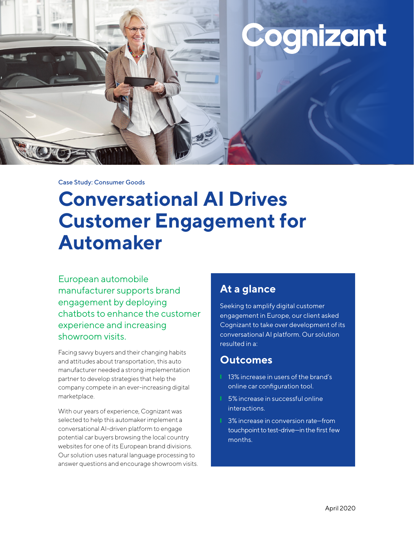

Case Study: Consumer Goods

# **Conversational AI Drives Customer Engagement for Automaker**

European automobile manufacturer supports brand engagement by deploying chatbots to enhance the customer experience and increasing showroom visits.

Facing savvy buyers and their changing habits and attitudes about transportation, this auto manufacturer needed a strong implementation partner to develop strategies that help the company compete in an ever-increasing digital marketplace.

With our years of experience, Cognizant was selected to help this automaker implement a conversational AI-driven platform to engage potential car buyers browsing the local country websites for one of its European brand divisions. Our solution uses natural language processing to answer questions and encourage showroom visits.

### **At a glance**

Seeking to amplify digital customer engagement in Europe, our client asked Cognizant to take over development of its conversational AI platform. Our solution resulted in a:

### **Outcomes**

- 13% increase in users of the brand's online car configuration tool.
- ❙ 5% increase in successful online interactions.
- **Ⅰ** 3% increase in conversion rate–from touchpoint to test-drive—in the first few months.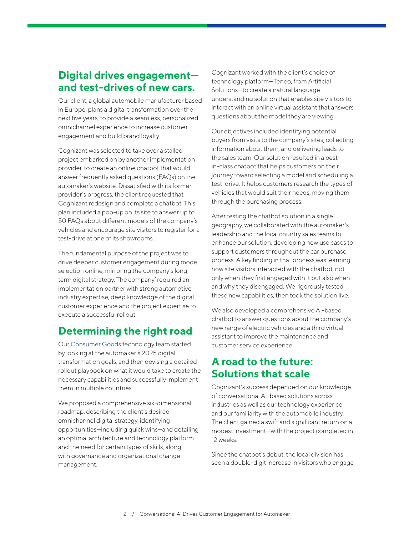### **Digital drives engagement and test-drives of new cars.**

Our client, a global automobile manufacturer based in Europe, plans a digital transformation over the next five years, to provide a seamless, personalized omnichannel experience to increase customer engagement and build brand loyalty.

Cognizant was selected to take over a stalled project embarked on by another implementation provider, to create an online chatbot that would answer frequently asked questions (FAQs) on the automaker's website. Dissatisfied with its former provider's progress, the client requested that Cognizant redesign and complete a chatbot. This plan included a pop-up on its site to answer up to 50 FAQs about different models of the company's vehicles and encourage site visitors to register for a test-drive at one of its showrooms.

The fundamental purpose of the project was to drive deeper customer engagement during model selection online, mirroring the company's long term digital strategy. The company' required an implementation partner with strong automotive industry expertise, deep knowledge of the digital customer experience and the project expertise to execute a successful rollout.

## **Determining the right road**

Our [Consumer Goods](https://www.cognizant.com/consumer-goods-technology-solutions) technology team started by looking at the automaker's 2025 digital transformation goals, and then devising a detailed rollout playbook on what it would take to create the necessary capabilities and successfully implement them in multiple countries.

We proposed a comprehensive six-dimensional roadmap, describing the client's desired omnichannel digital strategy, identifying opportunities—including quick wins—and detailing an optimal architecture and technology platform and the need for certain types of skills, along with governance and organizational change management.

Cognizant worked with the client's choice of technology platform—Teneo, from Artificial Solutions—to create a natural language understanding solution that enables site visitors to interact with an online virtual assistant that answers questions about the model they are viewing.

Our objectives included identifying potential buyers from visits to the company's sites, collecting information about them, and delivering leads to the sales team. Our solution resulted in a bestin-class chatbot that helps customers on their journey toward selecting a model and scheduling a test-drive. It helps customers research the types of vehicles that would suit their needs, moving them through the purchasing process.

After testing the chatbot solution in a single geography, we collaborated with the automaker's leadership and the local country sales teams to enhance our solution, developing new use cases to support customers throughout the car purchase process. A key finding in that process was learning how site visitors interacted with the chatbot, not only when they first engaged with it but also when and why they disengaged. We rigorously tested these new capabilities, then took the solution live.

We also developed a comprehensive AI-based chatbot to answer questions about the company's new range of electric vehicles and a third virtual assistant to improve the maintenance and customer service experience.

### **A road to the future: Solutions that scale**

Cognizant's success depended on our knowledge of conversational AI-based solutions across industries as well as our technology experience and our familiarity with the automobile industry. The client gained a swift and significant return on a modest investment—with the project completed in 12 weeks.

Since the chatbot's debut, the local division has seen a double-digit increase in visitors who engage